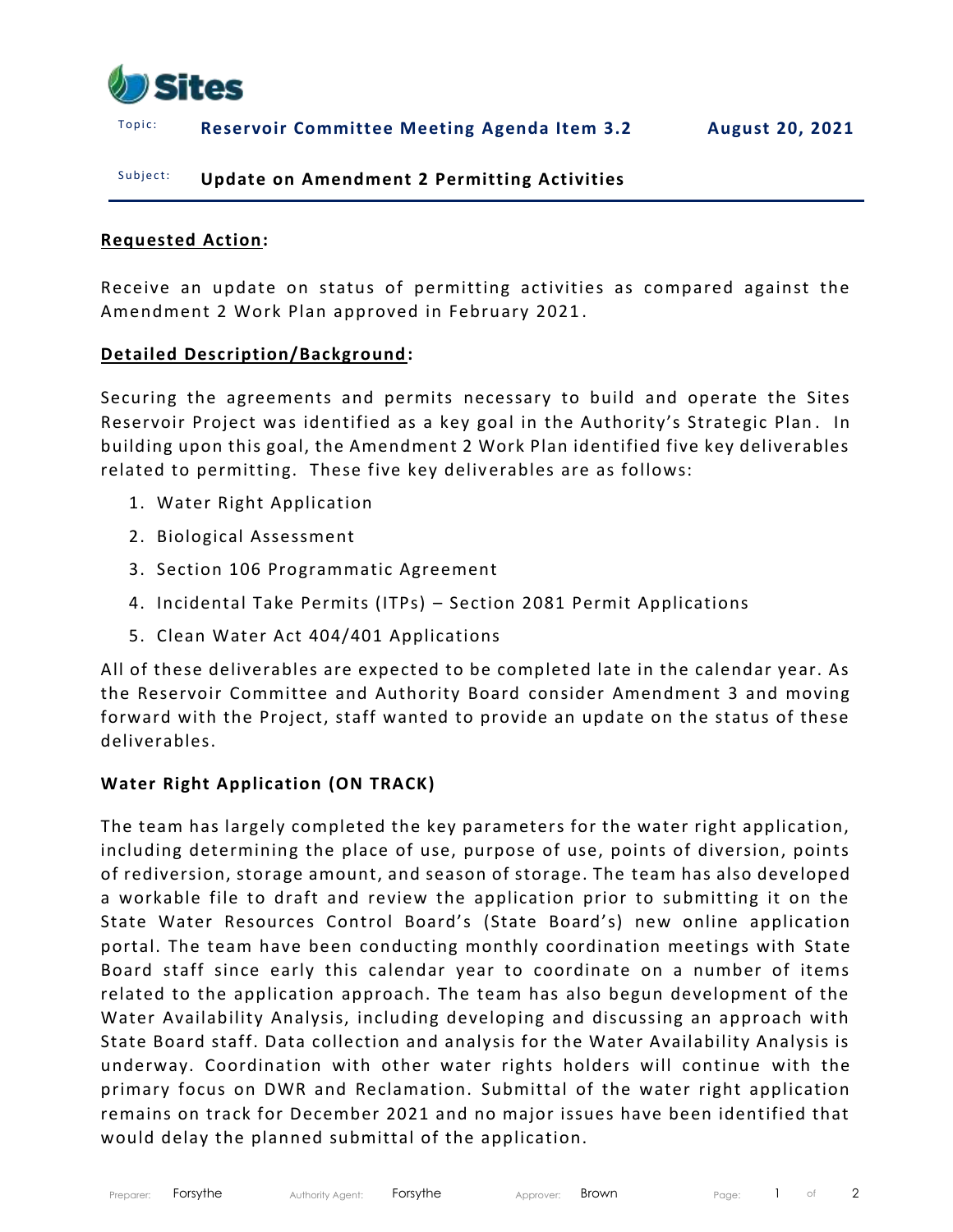

### T o p i c : **Reservoir Committee Meeting Agenda Item 3.2 August 20, 2021**

### Subject: **Update on Amendment 2 Permitting Activities**

#### **Requested Action:**

Receive an update on status of permitting activities as compared against the Amendment 2 Work Plan approved in February 2021 .

### **Detailed Description/Background:**

Securing the agreements and permits necessary to build and operate the Sites Reservoir Project was identified as a key goal in the Authority's Strategic Plan . In building upon this goal, the Amendment 2 Work Plan identified five key deliverables related to permitting. These five key deliverables are as follows:

- 1. Water Right Application
- 2. Biological Assessment
- 3. Section 106 Programmatic Agreement
- 4. Incidental Take Permits (ITPs) Section 2081 Permit Applications
- 5. Clean Water Act 404/401 Applications

All of these deliverables are expected to be completed late in the calendar year. As the Reservoir Committee and Authority Board consider Amendment 3 and moving forward with the Project, staff wanted to provide an update on the status of these deliverables.

### **Water Right Application (ON TRACK)**

The team has largely completed the key parameters for the water right application, including determining the place of use, purpose of use, points of diversion, points of rediversion, storage amount, and season of storage. The team has also developed a workable file to draft and review the application prior to submitting it on the State Water Resources Control Board's (State Board's) new online application portal. The team have been conducting monthly coordination meetings with State Board staff since early this calendar year to coordinate on a number of items related to the application approach. The team has also begun development of the Water Availability Analysis, including developing and discussing an approach with State Board staff. Data collection and analysis for the Water Availability Analysis is underway. Coordination with other water rights holders will continue with the primary focus on DWR and Reclamation. Submittal of the water right application remains on track for December 2021 and no major issues have been identified that would delay the planned submittal of the application.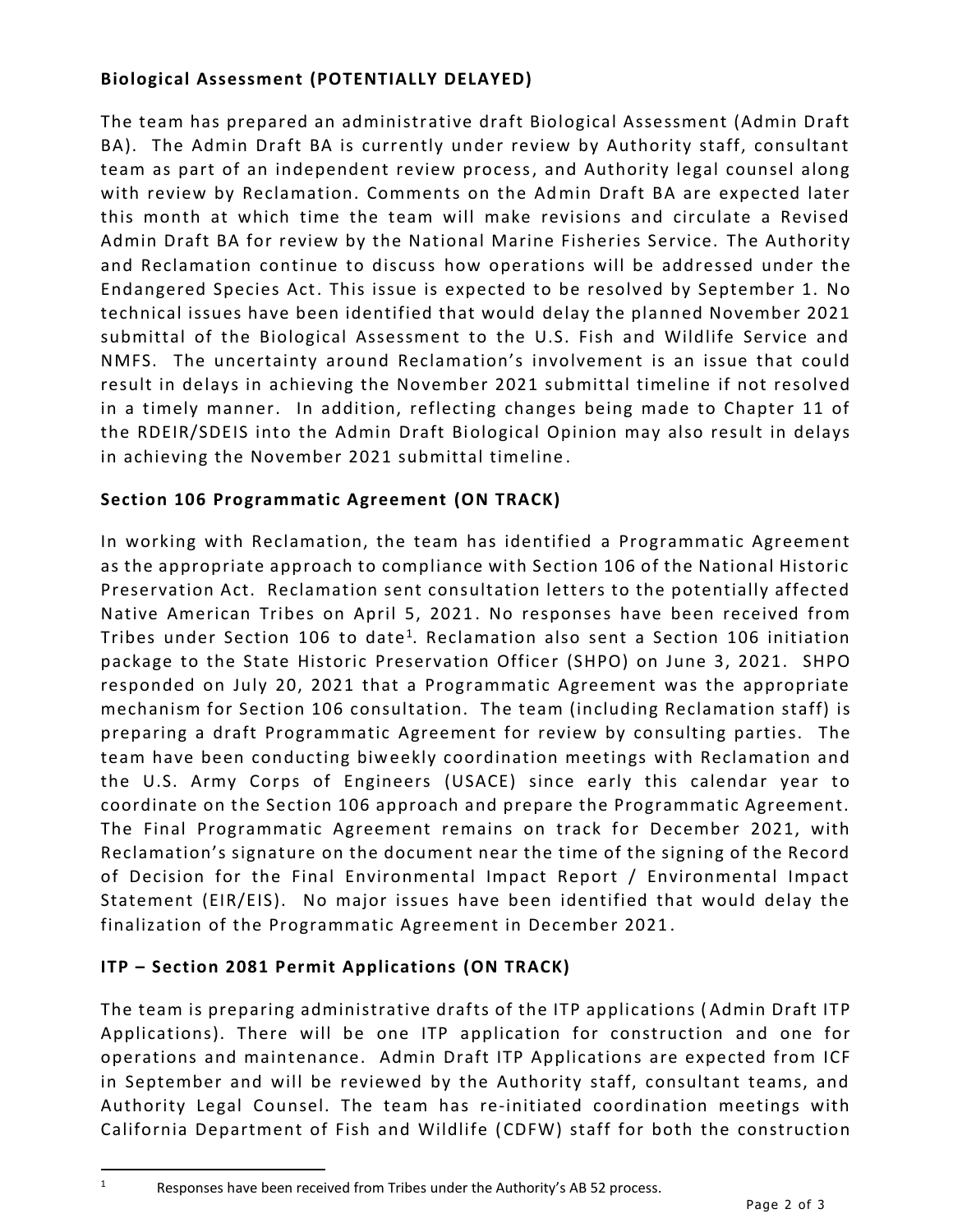# **Biological Assessment (POTENTIALLY DELAYED)**

The team has prepared an administrative draft Biological Assessment (Admin Draft BA). The Admin Draft BA is currently under review by Authority staff, consultant team as part of an independent review process, and Authority legal counsel along with review by Reclamation. Comments on the Admin Draft BA are expected later this month at which time the team will make revisions and circulate a Revised Admin Draft BA for review by the National Marine Fisheries Service. The Authority and Reclamation continue to discuss how operations will be addressed under the Endangered Species Act. This issue is expected to be resolved by September 1. No technical issues have been identified that would delay the planned November 2021 submittal of the Biological Assessment to the U.S. Fish and Wildlife Service and NMFS. The uncertainty around Reclamation's involvement is an issue that could result in delays in achieving the November 2021 submittal timeline if not resolved in a timely manner. In addition, reflecting changes being made to Chapter 11 of the RDEIR/SDEIS into the Admin Draft Biological Opinion may also result in delays in achieving the November 2021 submittal timeline .

## **Section 106 Programmatic Agreement (ON TRACK)**

In working with Reclamation, the team has identified a Programmatic Agreement as the appropriate approach to compliance with Section 106 of the National Historic Preservation Act. Reclamation sent consultation letters to the potentially affected Native American Tribes on April 5, 2021 . No responses have been received from Tribes under Section 106 to date<sup>1</sup>. Reclamation also sent a Section 106 initiation package to the State Historic Preservation Officer (SHPO) on June 3, 2021. SHPO responded on July 20, 2021 that a Programmatic Agreement was the appropriate mechanism for Section 106 consultation. The team (including Reclamation staff) is preparing a draft Programmatic Agreement for review by consulting parties. The team have been conducting biweekly coordination meetings with Reclamation and the U.S. Army Corps of Engineers (USACE) since early this calendar year to coordinate on the Section 106 approach and prepare the Programmatic Agreement. The Final Programmatic Agreement remains on track for December 2021, with Reclamation's signature on the document near the time of the signing of the Record of Decision for the Final Environmental Impact Report / Environmental Impact Statement (EIR/EIS). No major issues have been identified that would delay the finalization of the Programmatic Agreement in December 2021 .

# **ITP – Section 2081 Permit Applications (ON TRACK)**

The team is preparing administrative drafts of the ITP applications ( Admin Draft ITP Applications). There will be one ITP application for construction and one for operations and maintenance. Admin Draft ITP Applications are expected from ICF in September and will be reviewed by the Authority staff, consultant teams, and Authority Legal Counsel. The team has re-initiated coordination meetings with California Department of Fish and Wildlife (CDFW) staff for both the construction

<sup>&</sup>lt;sup>1</sup> Responses have been received from Tribes under the Authority's AB 52 process.